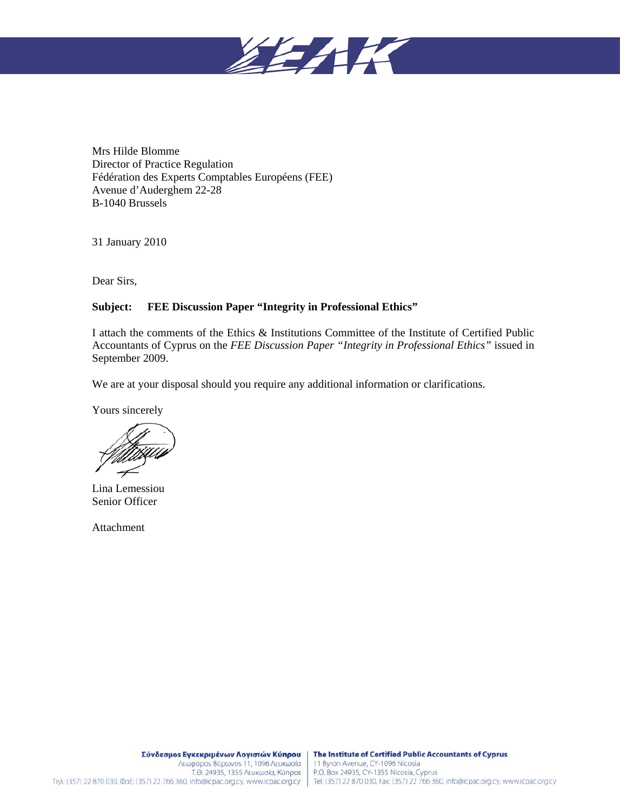

Mrs Hilde Blomme Director of Practice Regulation Fédération des Experts Comptables Européens (FEE) Avenue d'Auderghem 22-28 B-1040 Brussels

31 January 2010

Dear Sirs,

## **Subject: FEE Discussion Paper "Integrity in Professional Ethics"**

I attach the comments of the Ethics & Institutions Committee of the Institute of Certified Public Accountants of Cyprus on the *FEE Discussion Paper "Integrity in Professional Ethics"* issued in September 2009.

We are at your disposal should you require any additional information or clarifications.

Yours sincerely

Lina Lemessiou Senior Officer

Attachment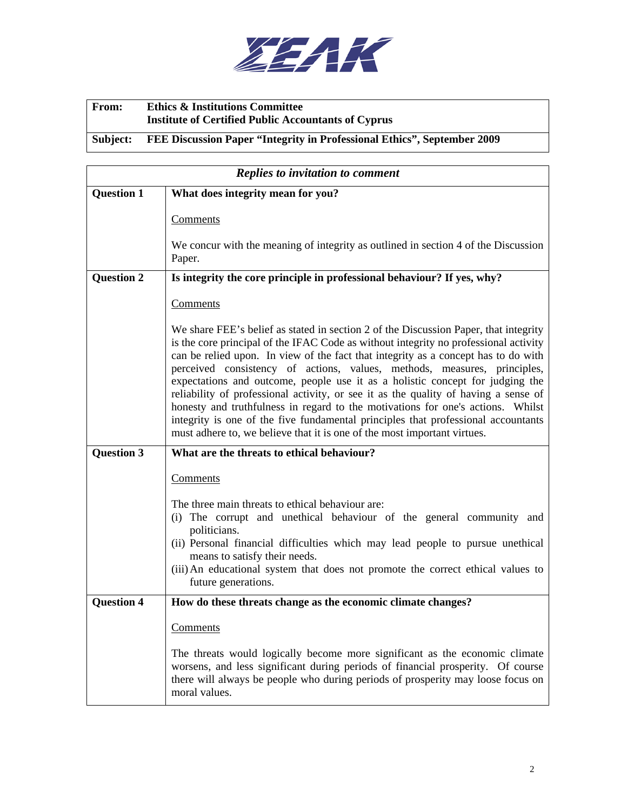

## **From: Ethics & Institutions Committee Institute of Certified Public Accountants of Cyprus Subject: FEE Discussion Paper "Integrity in Professional Ethics", September 2009**

| <b>Replies to invitation to comment</b> |                                                                                                                                                                                                                                                                                                                                                                                                                                                                                                                                                                                                                                                                                                                                                                            |  |
|-----------------------------------------|----------------------------------------------------------------------------------------------------------------------------------------------------------------------------------------------------------------------------------------------------------------------------------------------------------------------------------------------------------------------------------------------------------------------------------------------------------------------------------------------------------------------------------------------------------------------------------------------------------------------------------------------------------------------------------------------------------------------------------------------------------------------------|--|
| <b>Question 1</b>                       | What does integrity mean for you?                                                                                                                                                                                                                                                                                                                                                                                                                                                                                                                                                                                                                                                                                                                                          |  |
|                                         | Comments                                                                                                                                                                                                                                                                                                                                                                                                                                                                                                                                                                                                                                                                                                                                                                   |  |
|                                         | We concur with the meaning of integrity as outlined in section 4 of the Discussion<br>Paper.                                                                                                                                                                                                                                                                                                                                                                                                                                                                                                                                                                                                                                                                               |  |
| Question 2                              | Is integrity the core principle in professional behaviour? If yes, why?                                                                                                                                                                                                                                                                                                                                                                                                                                                                                                                                                                                                                                                                                                    |  |
|                                         | Comments                                                                                                                                                                                                                                                                                                                                                                                                                                                                                                                                                                                                                                                                                                                                                                   |  |
|                                         | We share FEE's belief as stated in section 2 of the Discussion Paper, that integrity<br>is the core principal of the IFAC Code as without integrity no professional activity<br>can be relied upon. In view of the fact that integrity as a concept has to do with<br>perceived consistency of actions, values, methods, measures, principles,<br>expectations and outcome, people use it as a holistic concept for judging the<br>reliability of professional activity, or see it as the quality of having a sense of<br>honesty and truthfulness in regard to the motivations for one's actions. Whilst<br>integrity is one of the five fundamental principles that professional accountants<br>must adhere to, we believe that it is one of the most important virtues. |  |
| <b>Question 3</b>                       | What are the threats to ethical behaviour?                                                                                                                                                                                                                                                                                                                                                                                                                                                                                                                                                                                                                                                                                                                                 |  |
|                                         | Comments                                                                                                                                                                                                                                                                                                                                                                                                                                                                                                                                                                                                                                                                                                                                                                   |  |
|                                         | The three main threats to ethical behaviour are:<br>(i) The corrupt and unethical behaviour of the general community and<br>politicians.<br>(ii) Personal financial difficulties which may lead people to pursue unethical<br>means to satisfy their needs.<br>(iii) An educational system that does not promote the correct ethical values to<br>future generations.                                                                                                                                                                                                                                                                                                                                                                                                      |  |
| Question 4                              | How do these threats change as the economic climate changes?                                                                                                                                                                                                                                                                                                                                                                                                                                                                                                                                                                                                                                                                                                               |  |
|                                         | <u>Comments</u>                                                                                                                                                                                                                                                                                                                                                                                                                                                                                                                                                                                                                                                                                                                                                            |  |
|                                         | The threats would logically become more significant as the economic climate<br>worsens, and less significant during periods of financial prosperity. Of course<br>there will always be people who during periods of prosperity may loose focus on<br>moral values.                                                                                                                                                                                                                                                                                                                                                                                                                                                                                                         |  |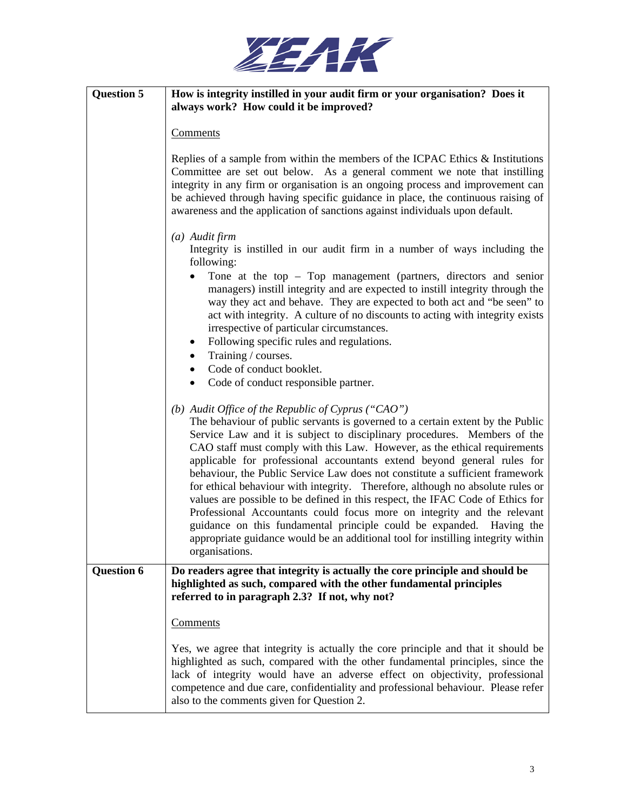

| <b>Question 5</b> | How is integrity instilled in your audit firm or your organisation? Does it<br>always work? How could it be improved?                                                                                                                                                                                                                                                                                                                                                                                                                                                                                                                                                                                                                                                                                                                                                                 |
|-------------------|---------------------------------------------------------------------------------------------------------------------------------------------------------------------------------------------------------------------------------------------------------------------------------------------------------------------------------------------------------------------------------------------------------------------------------------------------------------------------------------------------------------------------------------------------------------------------------------------------------------------------------------------------------------------------------------------------------------------------------------------------------------------------------------------------------------------------------------------------------------------------------------|
|                   | <b>Comments</b>                                                                                                                                                                                                                                                                                                                                                                                                                                                                                                                                                                                                                                                                                                                                                                                                                                                                       |
|                   | Replies of a sample from within the members of the ICPAC Ethics $\&$ Institutions<br>Committee are set out below. As a general comment we note that instilling<br>integrity in any firm or organisation is an ongoing process and improvement can<br>be achieved through having specific guidance in place, the continuous raising of<br>awareness and the application of sanctions against individuals upon default.                                                                                                                                                                                                                                                                                                                                                                                                                                                                 |
|                   | $(a)$ Audit firm<br>Integrity is instilled in our audit firm in a number of ways including the                                                                                                                                                                                                                                                                                                                                                                                                                                                                                                                                                                                                                                                                                                                                                                                        |
|                   | following:<br>Tone at the top $-$ Top management (partners, directors and senior<br>managers) instill integrity and are expected to instill integrity through the<br>way they act and behave. They are expected to both act and "be seen" to<br>act with integrity. A culture of no discounts to acting with integrity exists<br>irrespective of particular circumstances.<br>Following specific rules and regulations.<br>٠<br>Training / courses.                                                                                                                                                                                                                                                                                                                                                                                                                                   |
|                   | Code of conduct booklet.                                                                                                                                                                                                                                                                                                                                                                                                                                                                                                                                                                                                                                                                                                                                                                                                                                                              |
|                   | Code of conduct responsible partner.                                                                                                                                                                                                                                                                                                                                                                                                                                                                                                                                                                                                                                                                                                                                                                                                                                                  |
|                   | (b) Audit Office of the Republic of Cyprus ("CAO")<br>The behaviour of public servants is governed to a certain extent by the Public<br>Service Law and it is subject to disciplinary procedures. Members of the<br>CAO staff must comply with this Law. However, as the ethical requirements<br>applicable for professional accountants extend beyond general rules for<br>behaviour, the Public Service Law does not constitute a sufficient framework<br>for ethical behaviour with integrity. Therefore, although no absolute rules or<br>values are possible to be defined in this respect, the IFAC Code of Ethics for<br>Professional Accountants could focus more on integrity and the relevant<br>guidance on this fundamental principle could be expanded. Having the<br>appropriate guidance would be an additional tool for instilling integrity within<br>organisations. |
| <b>Question 6</b> | Do readers agree that integrity is actually the core principle and should be<br>highlighted as such, compared with the other fundamental principles<br>referred to in paragraph 2.3? If not, why not?                                                                                                                                                                                                                                                                                                                                                                                                                                                                                                                                                                                                                                                                                 |
|                   | <b>Comments</b>                                                                                                                                                                                                                                                                                                                                                                                                                                                                                                                                                                                                                                                                                                                                                                                                                                                                       |
|                   | Yes, we agree that integrity is actually the core principle and that it should be<br>highlighted as such, compared with the other fundamental principles, since the<br>lack of integrity would have an adverse effect on objectivity, professional<br>competence and due care, confidentiality and professional behaviour. Please refer<br>also to the comments given for Question 2.                                                                                                                                                                                                                                                                                                                                                                                                                                                                                                 |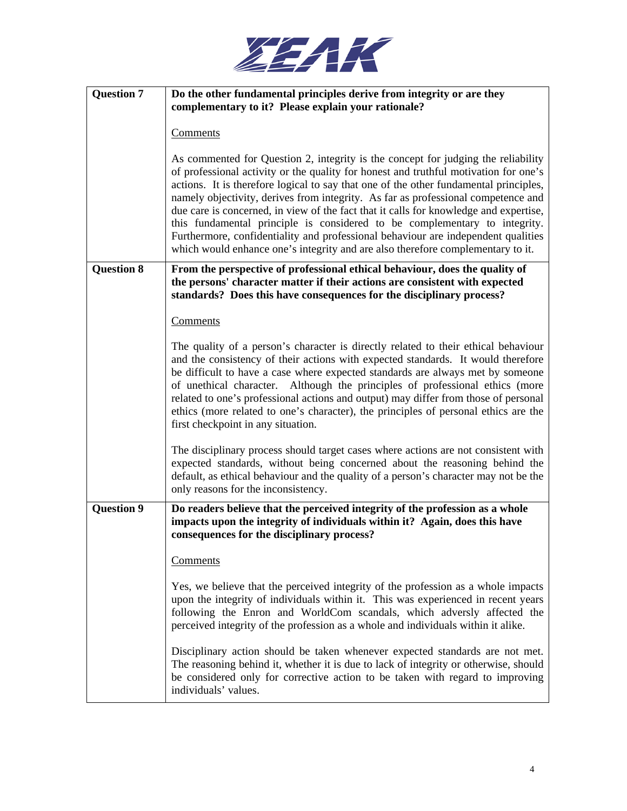

| <b>Question 7</b> | Do the other fundamental principles derive from integrity or are they<br>complementary to it? Please explain your rationale?                                                                                                                                                                                                                                                                                                                                                                                                                                                                                                                                                                           |
|-------------------|--------------------------------------------------------------------------------------------------------------------------------------------------------------------------------------------------------------------------------------------------------------------------------------------------------------------------------------------------------------------------------------------------------------------------------------------------------------------------------------------------------------------------------------------------------------------------------------------------------------------------------------------------------------------------------------------------------|
|                   | <b>Comments</b>                                                                                                                                                                                                                                                                                                                                                                                                                                                                                                                                                                                                                                                                                        |
|                   | As commented for Question 2, integrity is the concept for judging the reliability<br>of professional activity or the quality for honest and truthful motivation for one's<br>actions. It is therefore logical to say that one of the other fundamental principles,<br>namely objectivity, derives from integrity. As far as professional competence and<br>due care is concerned, in view of the fact that it calls for knowledge and expertise,<br>this fundamental principle is considered to be complementary to integrity.<br>Furthermore, confidentiality and professional behaviour are independent qualities<br>which would enhance one's integrity and are also therefore complementary to it. |
| <b>Question 8</b> | From the perspective of professional ethical behaviour, does the quality of<br>the persons' character matter if their actions are consistent with expected<br>standards? Does this have consequences for the disciplinary process?                                                                                                                                                                                                                                                                                                                                                                                                                                                                     |
|                   | Comments                                                                                                                                                                                                                                                                                                                                                                                                                                                                                                                                                                                                                                                                                               |
|                   | The quality of a person's character is directly related to their ethical behaviour<br>and the consistency of their actions with expected standards. It would therefore<br>be difficult to have a case where expected standards are always met by someone<br>of unethical character. Although the principles of professional ethics (more<br>related to one's professional actions and output) may differ from those of personal<br>ethics (more related to one's character), the principles of personal ethics are the<br>first checkpoint in any situation.                                                                                                                                           |
|                   | The disciplinary process should target cases where actions are not consistent with<br>expected standards, without being concerned about the reasoning behind the<br>default, as ethical behaviour and the quality of a person's character may not be the<br>only reasons for the inconsistency.                                                                                                                                                                                                                                                                                                                                                                                                        |
| <b>Question 9</b> | Do readers believe that the perceived integrity of the profession as a whole<br>impacts upon the integrity of individuals within it? Again, does this have<br>consequences for the disciplinary process?                                                                                                                                                                                                                                                                                                                                                                                                                                                                                               |
|                   | <b>Comments</b>                                                                                                                                                                                                                                                                                                                                                                                                                                                                                                                                                                                                                                                                                        |
|                   | Yes, we believe that the perceived integrity of the profession as a whole impacts<br>upon the integrity of individuals within it. This was experienced in recent years<br>following the Enron and WorldCom scandals, which adversly affected the<br>perceived integrity of the profession as a whole and individuals within it alike.                                                                                                                                                                                                                                                                                                                                                                  |
|                   | Disciplinary action should be taken whenever expected standards are not met.<br>The reasoning behind it, whether it is due to lack of integrity or otherwise, should<br>be considered only for corrective action to be taken with regard to improving<br>individuals' values.                                                                                                                                                                                                                                                                                                                                                                                                                          |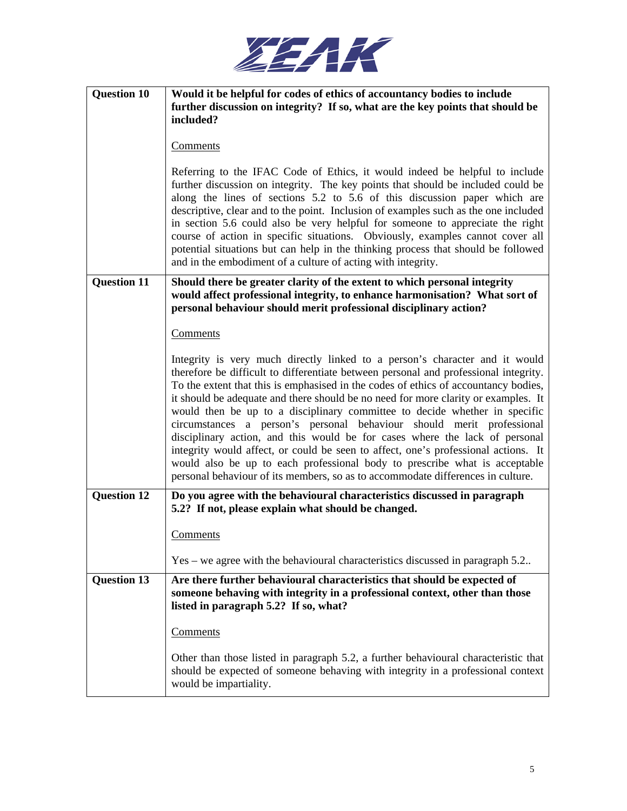

| <b>Question 10</b> | Would it be helpful for codes of ethics of accountancy bodies to include<br>further discussion on integrity? If so, what are the key points that should be                                                                                                                                                                                                                                                                                                                                                                                                                                                                                                                                                                                                                                                                                    |
|--------------------|-----------------------------------------------------------------------------------------------------------------------------------------------------------------------------------------------------------------------------------------------------------------------------------------------------------------------------------------------------------------------------------------------------------------------------------------------------------------------------------------------------------------------------------------------------------------------------------------------------------------------------------------------------------------------------------------------------------------------------------------------------------------------------------------------------------------------------------------------|
|                    | included?                                                                                                                                                                                                                                                                                                                                                                                                                                                                                                                                                                                                                                                                                                                                                                                                                                     |
|                    | <b>Comments</b>                                                                                                                                                                                                                                                                                                                                                                                                                                                                                                                                                                                                                                                                                                                                                                                                                               |
|                    | Referring to the IFAC Code of Ethics, it would indeed be helpful to include<br>further discussion on integrity. The key points that should be included could be<br>along the lines of sections 5.2 to 5.6 of this discussion paper which are<br>descriptive, clear and to the point. Inclusion of examples such as the one included<br>in section 5.6 could also be very helpful for someone to appreciate the right<br>course of action in specific situations. Obviously, examples cannot cover all<br>potential situations but can help in the thinking process that should be followed<br>and in the embodiment of a culture of acting with integrity.                                                                                                                                                                                    |
| <b>Question 11</b> | Should there be greater clarity of the extent to which personal integrity<br>would affect professional integrity, to enhance harmonisation? What sort of<br>personal behaviour should merit professional disciplinary action?                                                                                                                                                                                                                                                                                                                                                                                                                                                                                                                                                                                                                 |
|                    | Comments                                                                                                                                                                                                                                                                                                                                                                                                                                                                                                                                                                                                                                                                                                                                                                                                                                      |
|                    | Integrity is very much directly linked to a person's character and it would<br>therefore be difficult to differentiate between personal and professional integrity.<br>To the extent that this is emphasised in the codes of ethics of accountancy bodies,<br>it should be adequate and there should be no need for more clarity or examples. It<br>would then be up to a disciplinary committee to decide whether in specific<br>circumstances a person's personal behaviour should merit professional<br>disciplinary action, and this would be for cases where the lack of personal<br>integrity would affect, or could be seen to affect, one's professional actions. It<br>would also be up to each professional body to prescribe what is acceptable<br>personal behaviour of its members, so as to accommodate differences in culture. |
| <b>Question 12</b> | Do you agree with the behavioural characteristics discussed in paragraph<br>5.2? If not, please explain what should be changed.                                                                                                                                                                                                                                                                                                                                                                                                                                                                                                                                                                                                                                                                                                               |
|                    | <u>Comments</u>                                                                                                                                                                                                                                                                                                                                                                                                                                                                                                                                                                                                                                                                                                                                                                                                                               |
|                    | Yes – we agree with the behavioural characteristics discussed in paragraph 5.2.                                                                                                                                                                                                                                                                                                                                                                                                                                                                                                                                                                                                                                                                                                                                                               |
| <b>Question 13</b> | Are there further behavioural characteristics that should be expected of<br>someone behaving with integrity in a professional context, other than those<br>listed in paragraph 5.2? If so, what?                                                                                                                                                                                                                                                                                                                                                                                                                                                                                                                                                                                                                                              |
|                    | Comments                                                                                                                                                                                                                                                                                                                                                                                                                                                                                                                                                                                                                                                                                                                                                                                                                                      |
|                    | Other than those listed in paragraph 5.2, a further behavioural characteristic that<br>should be expected of someone behaving with integrity in a professional context<br>would be impartiality.                                                                                                                                                                                                                                                                                                                                                                                                                                                                                                                                                                                                                                              |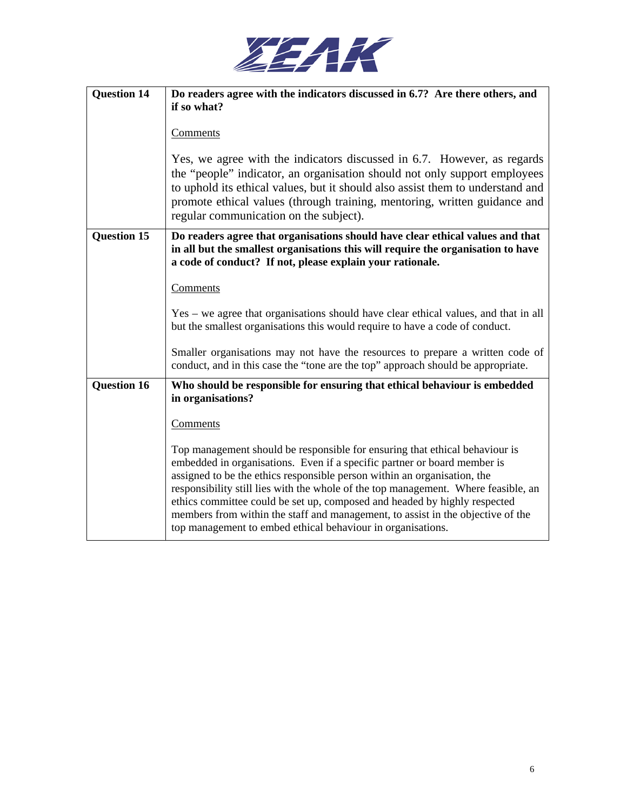

| <b>Question 14</b> | Do readers agree with the indicators discussed in 6.7? Are there others, and<br>if so what?                                                                                                                                                                                                                                                                                                                                                                                                                                                              |
|--------------------|----------------------------------------------------------------------------------------------------------------------------------------------------------------------------------------------------------------------------------------------------------------------------------------------------------------------------------------------------------------------------------------------------------------------------------------------------------------------------------------------------------------------------------------------------------|
|                    | Comments                                                                                                                                                                                                                                                                                                                                                                                                                                                                                                                                                 |
|                    | Yes, we agree with the indicators discussed in 6.7. However, as regards<br>the "people" indicator, an organisation should not only support employees<br>to uphold its ethical values, but it should also assist them to understand and<br>promote ethical values (through training, mentoring, written guidance and<br>regular communication on the subject).                                                                                                                                                                                            |
| <b>Question 15</b> | Do readers agree that organisations should have clear ethical values and that<br>in all but the smallest organisations this will require the organisation to have<br>a code of conduct? If not, please explain your rationale.                                                                                                                                                                                                                                                                                                                           |
|                    | Comments                                                                                                                                                                                                                                                                                                                                                                                                                                                                                                                                                 |
|                    | Yes – we agree that organisations should have clear ethical values, and that in all<br>but the smallest organisations this would require to have a code of conduct.                                                                                                                                                                                                                                                                                                                                                                                      |
|                    | Smaller organisations may not have the resources to prepare a written code of<br>conduct, and in this case the "tone are the top" approach should be appropriate.                                                                                                                                                                                                                                                                                                                                                                                        |
| <b>Question 16</b> | Who should be responsible for ensuring that ethical behaviour is embedded<br>in organisations?                                                                                                                                                                                                                                                                                                                                                                                                                                                           |
|                    | Comments                                                                                                                                                                                                                                                                                                                                                                                                                                                                                                                                                 |
|                    | Top management should be responsible for ensuring that ethical behaviour is<br>embedded in organisations. Even if a specific partner or board member is<br>assigned to be the ethics responsible person within an organisation, the<br>responsibility still lies with the whole of the top management. Where feasible, an<br>ethics committee could be set up, composed and headed by highly respected<br>members from within the staff and management, to assist in the objective of the<br>top management to embed ethical behaviour in organisations. |